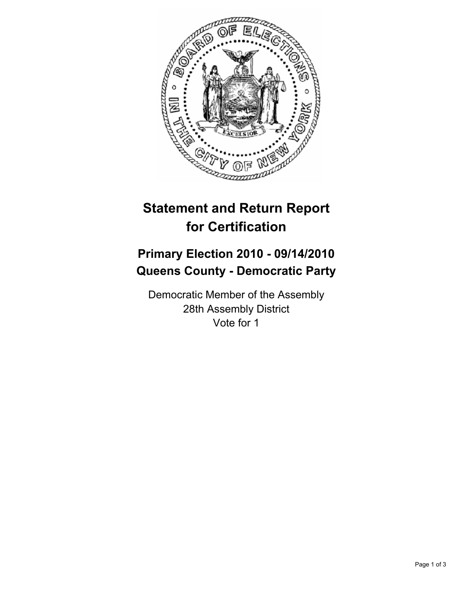

## **Statement and Return Report for Certification**

## **Primary Election 2010 - 09/14/2010 Queens County - Democratic Party**

Democratic Member of the Assembly 28th Assembly District Vote for 1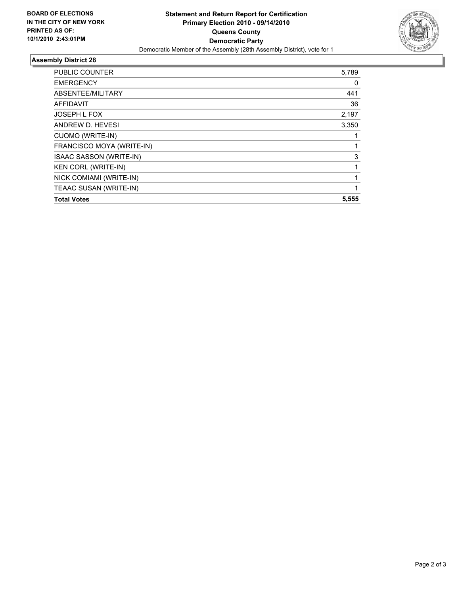

## **Assembly District 28**

| NICK COMIAMI (WRITE-IN)<br>TEAAC SUSAN (WRITE-IN) | 1     |
|---------------------------------------------------|-------|
| <b>KEN CORL (WRITE-IN)</b>                        |       |
| ISAAC SASSON (WRITE-IN)                           | 3     |
| FRANCISCO MOYA (WRITE-IN)                         |       |
| <b>CUOMO (WRITE-IN)</b>                           |       |
| ANDREW D. HEVESI                                  | 3,350 |
| JOSEPH L FOX                                      | 2,197 |
| <b>AFFIDAVIT</b>                                  | 36    |
| ABSENTEE/MILITARY                                 | 441   |
| <b>EMERGENCY</b>                                  | 0     |
| <b>PUBLIC COUNTER</b>                             | 5,789 |